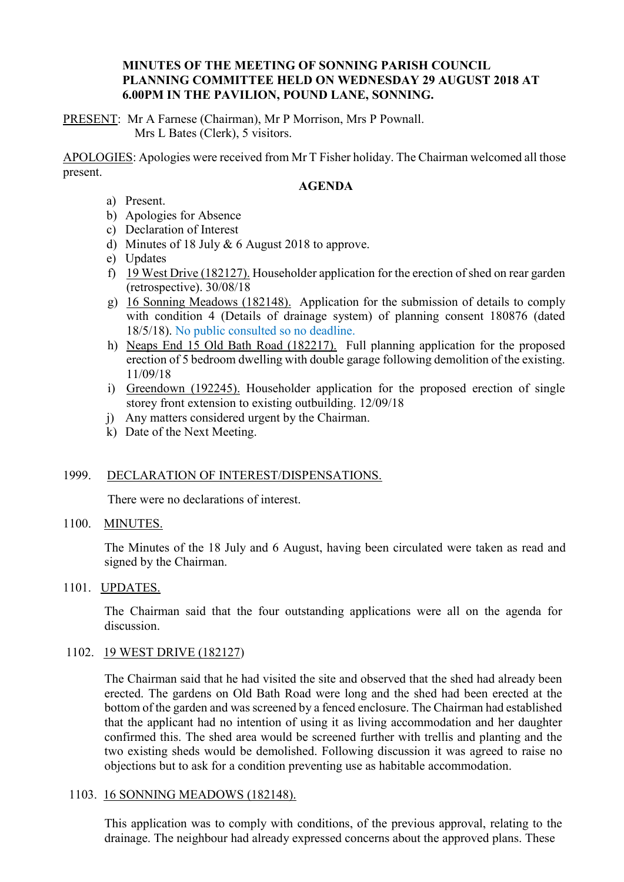# **MINUTES OF THE MEETING OF SONNING PARISH COUNCIL PLANNING COMMITTEE HELD ON WEDNESDAY 29 AUGUST 2018 AT 6.00PM IN THE PAVILION, POUND LANE, SONNING.**

PRESENT: Mr A Farnese (Chairman), Mr P Morrison, Mrs P Pownall. Mrs L Bates (Clerk), 5 visitors.

APOLOGIES: Apologies were received from Mr T Fisher holiday. The Chairman welcomed all those present.

# **AGENDA**

- a) Present.
- b) Apologies for Absence
- c) Declaration of Interest
- d) Minutes of 18 July & 6 August 2018 to approve.
- e) Updates
- f) 19 West Drive (182127). Householder application for the erection of shed on rear garden (retrospective). 30/08/18
- g) 16 Sonning Meadows (182148). Application for the submission of details to comply with condition 4 (Details of drainage system) of planning consent 180876 (dated 18/5/18). No public consulted so no deadline.
- h) Neaps End 15 Old Bath Road (182217). Full planning application for the proposed erection of 5 bedroom dwelling with double garage following demolition of the existing. 11/09/18
- i) Greendown (192245). Householder application for the proposed erection of single storey front extension to existing outbuilding. 12/09/18
- j) Any matters considered urgent by the Chairman.
- k) Date of the Next Meeting.

## 1999. DECLARATION OF INTEREST/DISPENSATIONS.

There were no declarations of interest.

#### 1100. MINUTES.

The Minutes of the 18 July and 6 August, having been circulated were taken as read and signed by the Chairman.

### 1101. UPDATES.

The Chairman said that the four outstanding applications were all on the agenda for discussion.

## 1102. 19 WEST DRIVE (182127)

The Chairman said that he had visited the site and observed that the shed had already been erected. The gardens on Old Bath Road were long and the shed had been erected at the bottom of the garden and was screened by a fenced enclosure. The Chairman had established that the applicant had no intention of using it as living accommodation and her daughter confirmed this. The shed area would be screened further with trellis and planting and the two existing sheds would be demolished. Following discussion it was agreed to raise no objections but to ask for a condition preventing use as habitable accommodation.

## 1103. 16 SONNING MEADOWS (182148).

This application was to comply with conditions, of the previous approval, relating to the drainage. The neighbour had already expressed concerns about the approved plans. These